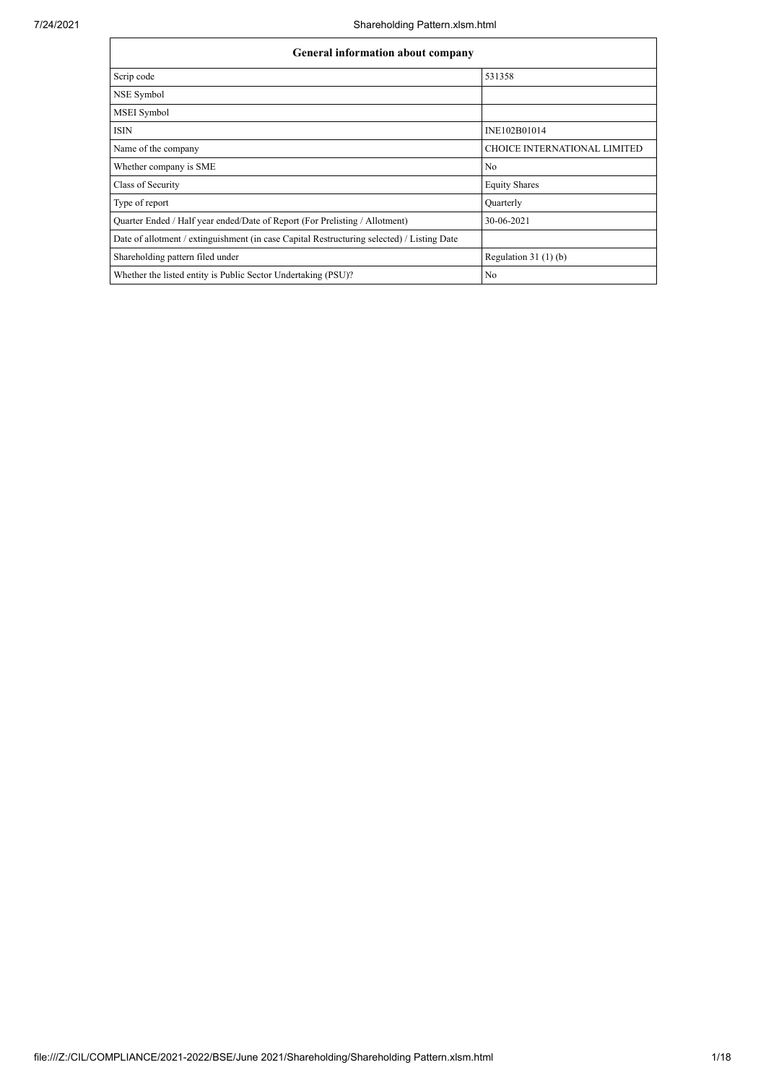| <b>General information about company</b>                                                   |                                     |  |  |  |  |  |
|--------------------------------------------------------------------------------------------|-------------------------------------|--|--|--|--|--|
| Scrip code                                                                                 | 531358                              |  |  |  |  |  |
| NSE Symbol                                                                                 |                                     |  |  |  |  |  |
| <b>MSEI</b> Symbol                                                                         |                                     |  |  |  |  |  |
| <b>ISIN</b>                                                                                | INE102B01014                        |  |  |  |  |  |
| Name of the company                                                                        | <b>CHOICE INTERNATIONAL LIMITED</b> |  |  |  |  |  |
| Whether company is SME                                                                     | No                                  |  |  |  |  |  |
| Class of Security                                                                          | <b>Equity Shares</b>                |  |  |  |  |  |
| Type of report                                                                             | Quarterly                           |  |  |  |  |  |
| Quarter Ended / Half year ended/Date of Report (For Prelisting / Allotment)                | 30-06-2021                          |  |  |  |  |  |
| Date of allotment / extinguishment (in case Capital Restructuring selected) / Listing Date |                                     |  |  |  |  |  |
| Shareholding pattern filed under                                                           | Regulation $31(1)(b)$               |  |  |  |  |  |
| Whether the listed entity is Public Sector Undertaking (PSU)?                              | N <sub>o</sub>                      |  |  |  |  |  |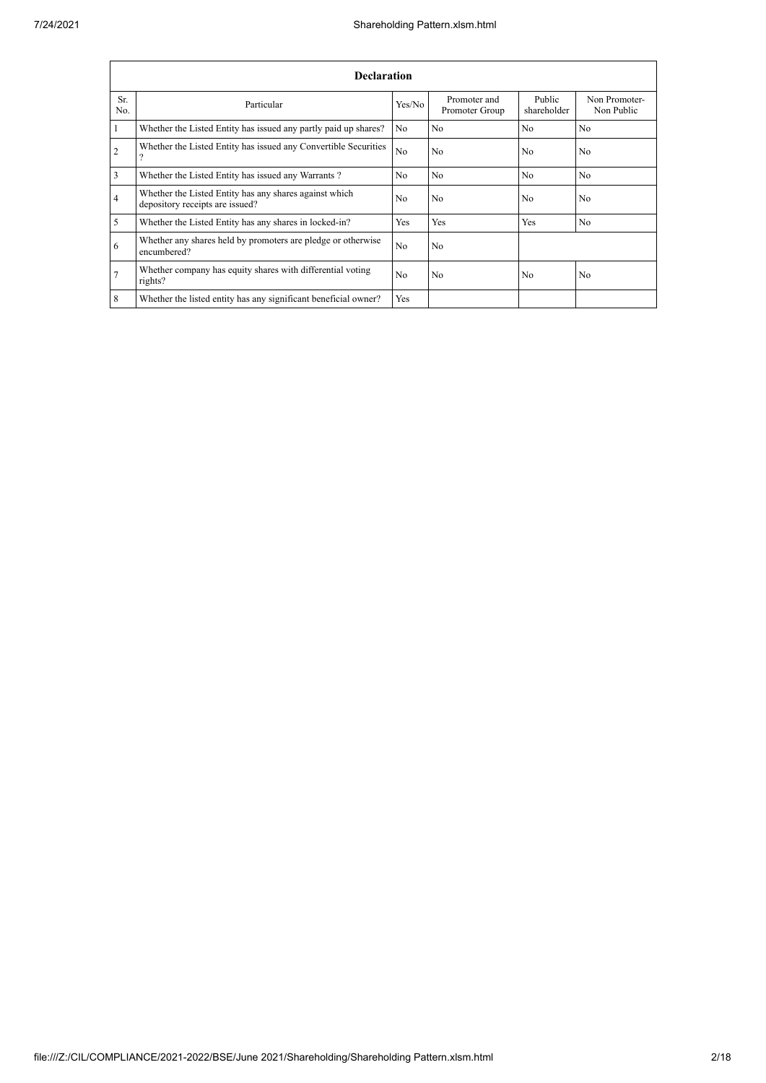|                | <b>Declaration</b>                                                                        |                |                                |                       |                             |  |  |  |
|----------------|-------------------------------------------------------------------------------------------|----------------|--------------------------------|-----------------------|-----------------------------|--|--|--|
| Sr.<br>No.     | Particular                                                                                | Yes/No         | Promoter and<br>Promoter Group | Public<br>shareholder | Non Promoter-<br>Non Public |  |  |  |
|                | Whether the Listed Entity has issued any partly paid up shares?                           | No.            | N <sub>0</sub>                 | N <sub>0</sub>        | N <sub>0</sub>              |  |  |  |
| $\overline{2}$ | Whether the Listed Entity has issued any Convertible Securities<br>$\Omega$               | N <sub>o</sub> | N <sub>o</sub>                 | N <sub>0</sub>        | N <sub>o</sub>              |  |  |  |
| $\overline{3}$ | Whether the Listed Entity has issued any Warrants?                                        | No.            | N <sub>0</sub>                 | N <sub>0</sub>        | N <sub>0</sub>              |  |  |  |
| $\overline{4}$ | Whether the Listed Entity has any shares against which<br>depository receipts are issued? | No             | N <sub>o</sub>                 | N <sub>0</sub>        | N <sub>0</sub>              |  |  |  |
| 5              | Whether the Listed Entity has any shares in locked-in?                                    | Yes            | Yes                            | Yes                   | N <sub>o</sub>              |  |  |  |
| 6              | Whether any shares held by promoters are pledge or otherwise<br>encumbered?               | N <sub>o</sub> | N <sub>o</sub>                 |                       |                             |  |  |  |
| $\overline{7}$ | Whether company has equity shares with differential voting<br>rights?                     | No             | N <sub>0</sub>                 | N <sub>0</sub>        | N <sub>o</sub>              |  |  |  |
| 8              | Whether the listed entity has any significant beneficial owner?                           | Yes            |                                |                       |                             |  |  |  |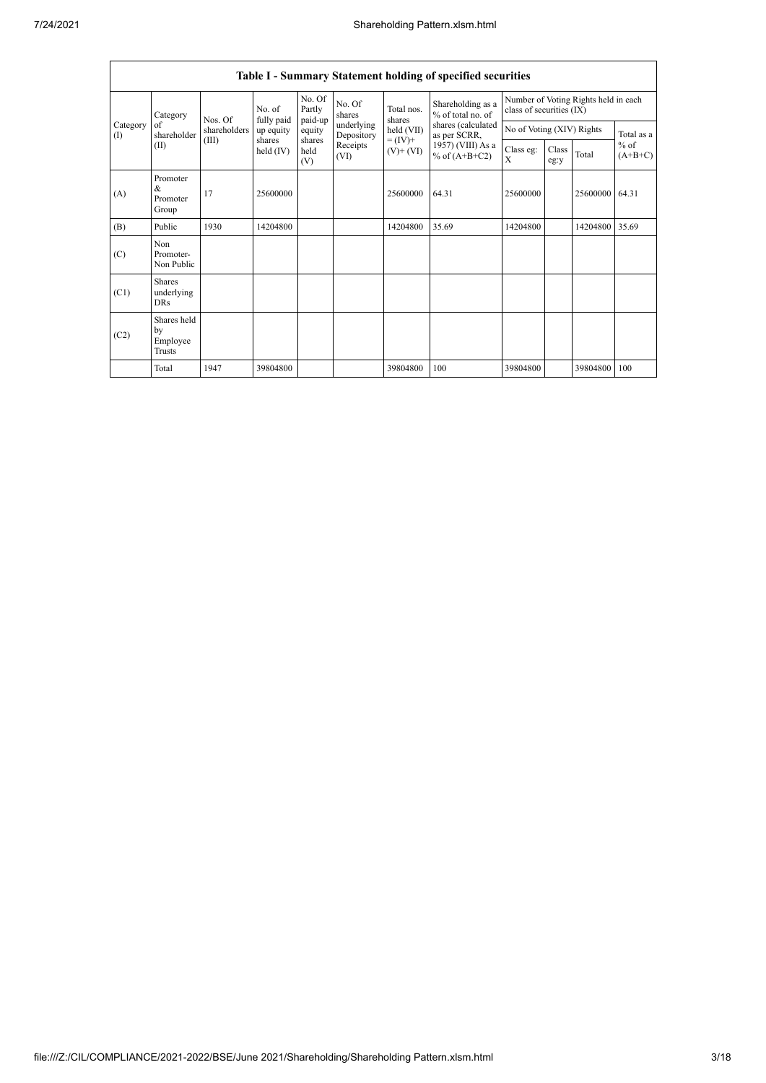|                      | <b>Table I - Summary Statement holding of specified securities</b>                                                 |                      |                             |                  |                          |                                        |                                                                  |          |                           |                |            |
|----------------------|--------------------------------------------------------------------------------------------------------------------|----------------------|-----------------------------|------------------|--------------------------|----------------------------------------|------------------------------------------------------------------|----------|---------------------------|----------------|------------|
| Category             | Nos. Of                                                                                                            | No. of<br>fully paid | No. Of<br>Partly<br>paid-up | No. Of<br>shares | Total nos.<br>shares     | Shareholding as a<br>% of total no. of | Number of Voting Rights held in each<br>class of securities (IX) |          |                           |                |            |
| Category<br>$\rm(I)$ | of<br>shareholder                                                                                                  | shareholders         | up equity<br>shares         | equity<br>shares | underlying<br>Depository | held (VII)                             | shares (calculated<br>as per SCRR,                               |          | No of Voting (XIV) Rights |                | Total as a |
|                      | $= (IV) +$<br>(III)<br>Receipts<br>(II)<br>held $(IV)$<br>held<br>$(V)$ + $(VI)$<br>% of $(A+B+C2)$<br>(VI)<br>(V) | 1957) (VIII) As a    | Class eg:<br>X              | Class<br>eg:y    | Total                    | $%$ of<br>$(A+B+C)$                    |                                                                  |          |                           |                |            |
| (A)                  | Promoter<br>$\&$<br>Promoter<br>Group                                                                              | 17                   | 25600000                    |                  |                          | 25600000                               | 64.31                                                            | 25600000 |                           | 25600000 64.31 |            |
| (B)                  | Public                                                                                                             | 1930                 | 14204800                    |                  |                          | 14204800                               | 35.69                                                            | 14204800 |                           | 14204800 35.69 |            |
| (C)                  | Non<br>Promoter-<br>Non Public                                                                                     |                      |                             |                  |                          |                                        |                                                                  |          |                           |                |            |
| (C1)                 | <b>Shares</b><br>underlying<br><b>DRs</b>                                                                          |                      |                             |                  |                          |                                        |                                                                  |          |                           |                |            |
| (C2)                 | Shares held<br>by<br>Employee<br>Trusts                                                                            |                      |                             |                  |                          |                                        |                                                                  |          |                           |                |            |
|                      | Total                                                                                                              | 1947                 | 39804800                    |                  |                          | 39804800                               | 100                                                              | 39804800 |                           | 39804800       | 100        |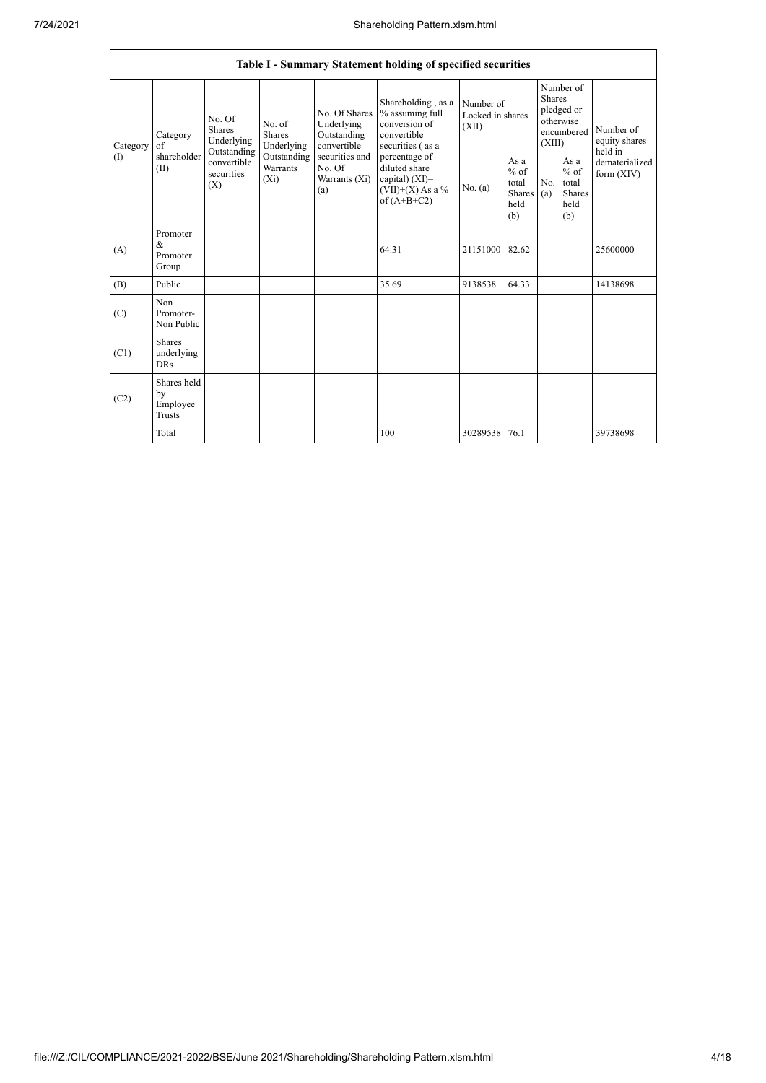|          | Table I - Summary Statement holding of specified securities                                                                                                                                                                                                    |                                                                  |                                                  |                                                           |                                                                                           |                                        |       |                                                                               |  |                                       |
|----------|----------------------------------------------------------------------------------------------------------------------------------------------------------------------------------------------------------------------------------------------------------------|------------------------------------------------------------------|--------------------------------------------------|-----------------------------------------------------------|-------------------------------------------------------------------------------------------|----------------------------------------|-------|-------------------------------------------------------------------------------|--|---------------------------------------|
| Category | Category<br>of                                                                                                                                                                                                                                                 | No. Of<br>No. of<br>Shares<br>Shares<br>Underlying<br>Underlying |                                                  | No. Of Shares<br>Underlying<br>Outstanding<br>convertible | Shareholding, as a<br>% assuming full<br>conversion of<br>convertible<br>securities (as a | Number of<br>Locked in shares<br>(XII) |       | Number of<br><b>Shares</b><br>pledged or<br>otherwise<br>encumbered<br>(XIII) |  | Number of<br>equity shares<br>held in |
| (1)      | Outstanding<br>shareholder<br>Outstanding<br>securities and<br>percentage of<br>convertible<br>(II)<br>Warrants<br>No. Of<br>diluted share<br>securities<br>$(X_i)$<br>Warrants (Xi)<br>capital) $(XI)$ =<br>(X)<br>$(VII)+(X)$ As a %<br>(a)<br>of $(A+B+C2)$ | No. (a)                                                          | As a<br>$%$ of<br>total<br>Shares<br>held<br>(b) | No.<br>(a)                                                | As a<br>$%$ of<br>total<br><b>Shares</b><br>held<br>(b)                                   | dematerialized<br>form $(XIV)$         |       |                                                                               |  |                                       |
| (A)      | Promoter<br>$\&$<br>Promoter<br>Group                                                                                                                                                                                                                          |                                                                  |                                                  |                                                           | 64.31                                                                                     | 21151000                               | 82.62 |                                                                               |  | 25600000                              |
| (B)      | Public                                                                                                                                                                                                                                                         |                                                                  |                                                  |                                                           | 35.69                                                                                     | 9138538                                | 64.33 |                                                                               |  | 14138698                              |
| (C)      | Non<br>Promoter-<br>Non Public                                                                                                                                                                                                                                 |                                                                  |                                                  |                                                           |                                                                                           |                                        |       |                                                                               |  |                                       |
| (C1)     | Shares<br>underlying<br><b>DRs</b>                                                                                                                                                                                                                             |                                                                  |                                                  |                                                           |                                                                                           |                                        |       |                                                                               |  |                                       |
| (C2)     | Shares held<br>by<br>Employee<br>Trusts                                                                                                                                                                                                                        |                                                                  |                                                  |                                                           |                                                                                           |                                        |       |                                                                               |  |                                       |
|          | Total                                                                                                                                                                                                                                                          |                                                                  |                                                  |                                                           | 100                                                                                       | 30289538 76.1                          |       |                                                                               |  | 39738698                              |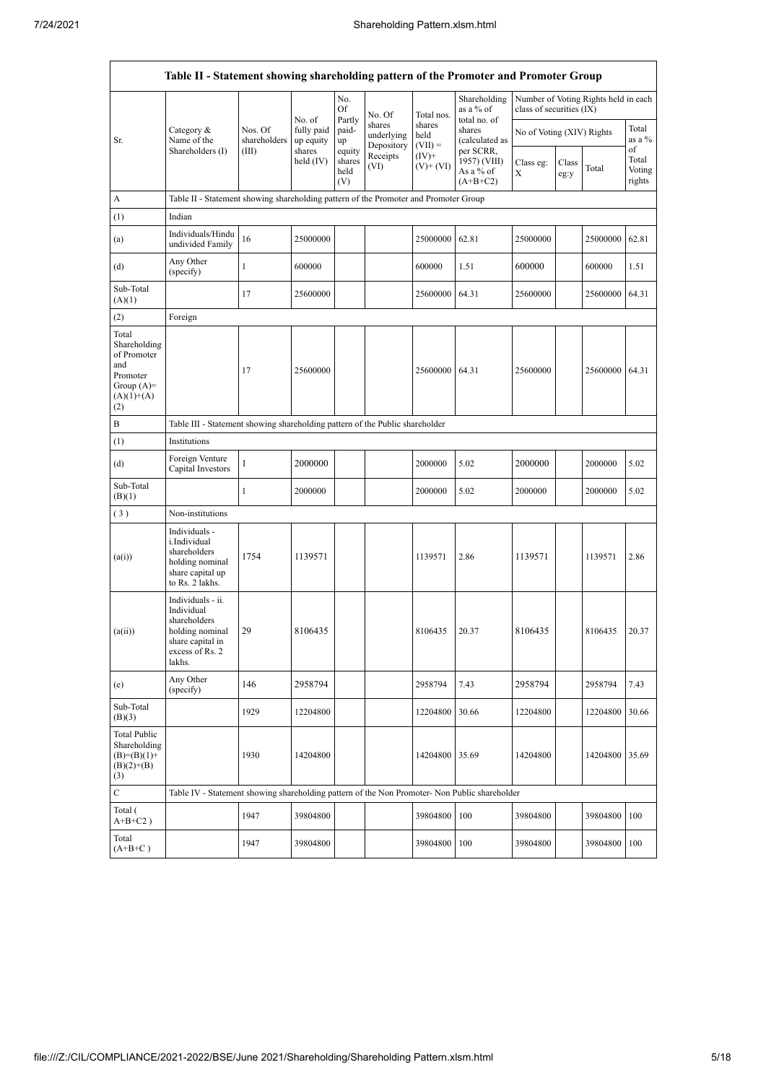|                                                                                                | Table II - Statement showing shareholding pattern of the Promoter and Promoter Group                                |                                                                                      |                                   |                       |                                    |                             |                                           |                           |               |                                      |                           |
|------------------------------------------------------------------------------------------------|---------------------------------------------------------------------------------------------------------------------|--------------------------------------------------------------------------------------|-----------------------------------|-----------------------|------------------------------------|-----------------------------|-------------------------------------------|---------------------------|---------------|--------------------------------------|---------------------------|
|                                                                                                |                                                                                                                     |                                                                                      | No. of                            | No.<br>Of<br>Partly   | No. Of                             | Total nos.                  | Shareholding<br>as a % of<br>total no. of | class of securities (IX)  |               | Number of Voting Rights held in each |                           |
| Sr.                                                                                            | Category &<br>Name of the<br>Shareholders (I)                                                                       | Nos. Of<br>shareholders<br>(III)                                                     | fully paid<br>up equity<br>shares | paid-<br>up<br>equity | shares<br>underlying<br>Depository | shares<br>held<br>$(VII) =$ | shares<br>(calculated as<br>per SCRR,     | No of Voting (XIV) Rights |               |                                      | Total<br>as a %<br>of     |
|                                                                                                |                                                                                                                     |                                                                                      | held (IV)                         | shares<br>held<br>(V) | Receipts<br>(VI)                   | $(IV)^+$<br>$(V)$ + $(VI)$  | 1957) (VIII)<br>As a % of<br>$(A+B+C2)$   | Class eg:<br>X            | Class<br>eg:y | Total                                | Total<br>Voting<br>rights |
| А                                                                                              |                                                                                                                     | Table II - Statement showing shareholding pattern of the Promoter and Promoter Group |                                   |                       |                                    |                             |                                           |                           |               |                                      |                           |
| (1)                                                                                            | Indian                                                                                                              |                                                                                      |                                   |                       |                                    |                             |                                           |                           |               |                                      |                           |
| (a)                                                                                            | Individuals/Hindu<br>undivided Family                                                                               | 16                                                                                   | 25000000                          |                       |                                    | 25000000                    | 62.81                                     | 25000000                  |               | 25000000                             | 62.81                     |
| (d)                                                                                            | Any Other<br>(specify)                                                                                              | $\mathbf{1}$                                                                         | 600000                            |                       |                                    | 600000                      | 1.51                                      | 600000                    |               | 600000                               | 1.51                      |
| Sub-Total<br>(A)(1)                                                                            |                                                                                                                     | 17                                                                                   | 25600000                          |                       |                                    | 25600000                    | 64.31                                     | 25600000                  |               | 25600000                             | 64.31                     |
| (2)                                                                                            | Foreign                                                                                                             |                                                                                      |                                   |                       |                                    |                             |                                           |                           |               |                                      |                           |
| Total<br>Shareholding<br>of Promoter<br>and<br>Promoter<br>Group $(A)=$<br>$(A)(1)+(A)$<br>(2) |                                                                                                                     | 17                                                                                   | 25600000                          |                       |                                    | 25600000                    | 64.31                                     | 25600000                  |               | 25600000                             | 64.31                     |
| B                                                                                              | Table III - Statement showing shareholding pattern of the Public shareholder                                        |                                                                                      |                                   |                       |                                    |                             |                                           |                           |               |                                      |                           |
| (1)                                                                                            | Institutions                                                                                                        |                                                                                      |                                   |                       |                                    |                             |                                           |                           |               |                                      |                           |
| (d)                                                                                            | Foreign Venture<br>Capital Investors                                                                                | 1                                                                                    | 2000000                           |                       |                                    | 2000000                     | 5.02                                      | 2000000                   |               | 2000000                              | 5.02                      |
| Sub-Total<br>(B)(1)                                                                            |                                                                                                                     | 1                                                                                    | 2000000                           |                       |                                    | 2000000                     | 5.02                                      | 2000000                   |               | 2000000                              | 5.02                      |
| (3)                                                                                            | Non-institutions                                                                                                    |                                                                                      |                                   |                       |                                    |                             |                                           |                           |               |                                      |                           |
| (a(i))                                                                                         | Individuals -<br>i.Individual<br>shareholders<br>holding nominal<br>share capital up<br>to Rs. 2 lakhs.             | 1754                                                                                 | 1139571                           |                       |                                    | 1139571                     | 2.86                                      | 1139571                   |               | 1139571                              | 2.86                      |
| (a(ii))                                                                                        | Individuals - ii.<br>Individual<br>shareholders<br>holding nominal<br>share capital in<br>excess of Rs. 2<br>lakhs. | 29                                                                                   | 8106435                           |                       |                                    | 8106435                     | 20.37                                     | 8106435                   |               | 8106435                              | 20.37                     |
| (e)                                                                                            | Any Other<br>(specify)                                                                                              | 146                                                                                  | 2958794                           |                       |                                    | 2958794                     | 7.43                                      | 2958794                   |               | 2958794                              | 7.43                      |
| Sub-Total<br>(B)(3)                                                                            |                                                                                                                     | 1929                                                                                 | 12204800                          |                       |                                    | 12204800                    | 30.66                                     | 12204800                  |               | 12204800                             | 30.66                     |
| <b>Total Public</b><br>Shareholding<br>$(B)= (B)(1) +$<br>$(B)(2)+(B)$<br>(3)                  |                                                                                                                     | 1930                                                                                 | 14204800                          |                       |                                    | 14204800                    | 35.69                                     | 14204800                  |               | 14204800                             | 35.69                     |
| $\mathbf C$                                                                                    | Table IV - Statement showing shareholding pattern of the Non Promoter- Non Public shareholder                       |                                                                                      |                                   |                       |                                    |                             |                                           |                           |               |                                      |                           |
| Total (<br>$A+B+C2$ )                                                                          |                                                                                                                     | 1947                                                                                 | 39804800                          |                       |                                    | 39804800                    | 100                                       | 39804800                  |               | 39804800                             | 100                       |
| Total<br>$(A+B+C)$                                                                             |                                                                                                                     | 1947                                                                                 | 39804800                          |                       |                                    | 39804800                    | 100                                       | 39804800                  |               | 39804800                             | 100                       |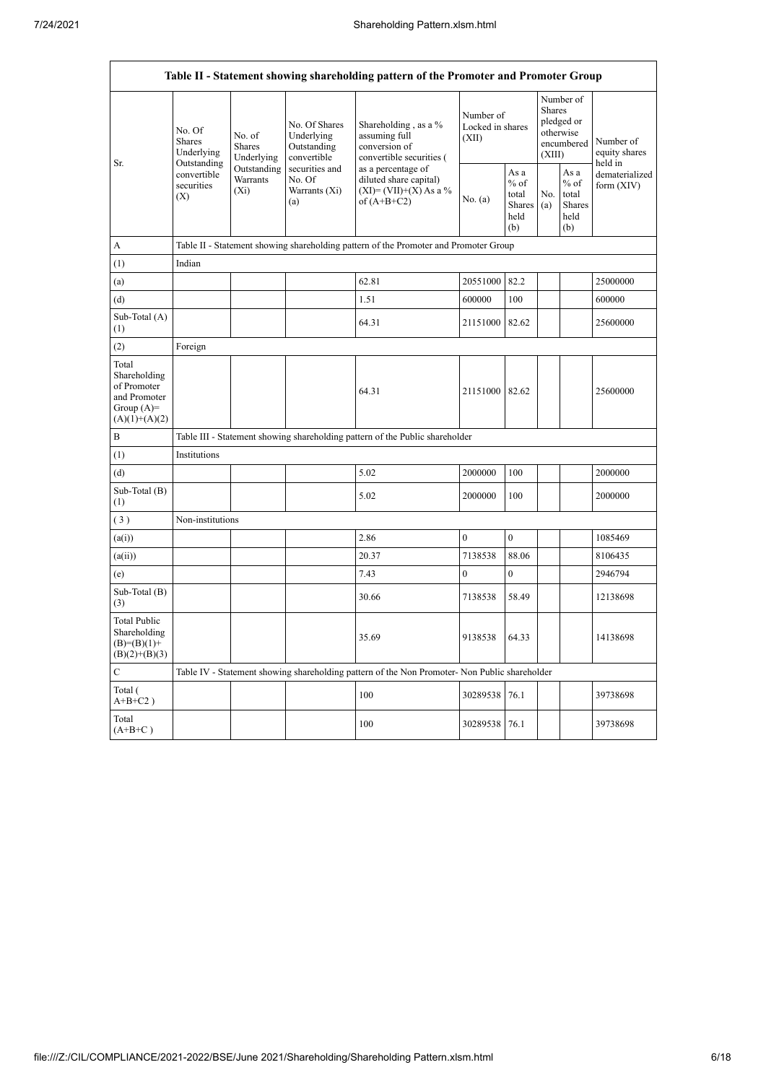r

٦

|                                                                                         | Table II - Statement showing shareholding pattern of the Promoter and Promoter Group |                                                                                        |                                                           |                                                                                                          |                                        |                                                  |                                                                        |                                                  |                                       |
|-----------------------------------------------------------------------------------------|--------------------------------------------------------------------------------------|----------------------------------------------------------------------------------------|-----------------------------------------------------------|----------------------------------------------------------------------------------------------------------|----------------------------------------|--------------------------------------------------|------------------------------------------------------------------------|--------------------------------------------------|---------------------------------------|
| Sr.                                                                                     | No. Of<br>Shares<br>Underlying                                                       | No. of<br><b>Shares</b><br>Underlying                                                  | No. Of Shares<br>Underlying<br>Outstanding<br>convertible | Shareholding, as a %<br>assuming full<br>conversion of<br>convertible securities (<br>as a percentage of | Number of<br>Locked in shares<br>(XII) |                                                  | Number of<br>Shares<br>pledged or<br>otherwise<br>encumbered<br>(XIII) |                                                  | Number of<br>equity shares<br>held in |
|                                                                                         | Outstanding<br>convertible<br>securities<br>(X)                                      | Outstanding<br>securities and<br>Warrants<br>No. Of<br>$(X_i)$<br>Warrants (Xi)<br>(a) |                                                           | diluted share capital)<br>$(XI) = (VII)+(X) As a %$<br>of $(A+B+C2)$                                     | No. (a)                                | As a<br>$%$ of<br>total<br>Shares<br>held<br>(b) | No.<br>(a)                                                             | As a<br>$%$ of<br>total<br>Shares<br>held<br>(b) | dematerialized<br>form $(XIV)$        |
| A                                                                                       |                                                                                      |                                                                                        |                                                           | Table II - Statement showing shareholding pattern of the Promoter and Promoter Group                     |                                        |                                                  |                                                                        |                                                  |                                       |
| (1)                                                                                     | Indian                                                                               |                                                                                        |                                                           |                                                                                                          |                                        |                                                  |                                                                        |                                                  |                                       |
| (a)                                                                                     |                                                                                      |                                                                                        |                                                           | 62.81                                                                                                    | 20551000                               | 82.2                                             |                                                                        |                                                  | 25000000                              |
| $\left( d\right)$                                                                       |                                                                                      |                                                                                        |                                                           | 1.51                                                                                                     | 600000                                 | 100                                              |                                                                        |                                                  | 600000                                |
| Sub-Total (A)<br>(1)                                                                    |                                                                                      |                                                                                        |                                                           | 64.31                                                                                                    | 21151000                               | 82.62                                            |                                                                        |                                                  | 25600000                              |
| (2)                                                                                     | Foreign                                                                              |                                                                                        |                                                           |                                                                                                          |                                        |                                                  |                                                                        |                                                  |                                       |
| Total<br>Shareholding<br>of Promoter<br>and Promoter<br>Group $(A)=$<br>$(A)(1)+(A)(2)$ |                                                                                      |                                                                                        |                                                           | 64.31                                                                                                    | 21151000                               | 82.62                                            |                                                                        |                                                  | 25600000                              |
| B                                                                                       |                                                                                      |                                                                                        |                                                           | Table III - Statement showing shareholding pattern of the Public shareholder                             |                                        |                                                  |                                                                        |                                                  |                                       |
| (1)                                                                                     | Institutions                                                                         |                                                                                        |                                                           |                                                                                                          |                                        |                                                  |                                                                        |                                                  |                                       |
| (d)                                                                                     |                                                                                      |                                                                                        |                                                           | 5.02                                                                                                     | 2000000                                | 100                                              |                                                                        |                                                  | 2000000                               |
| Sub-Total (B)<br>(1)                                                                    |                                                                                      |                                                                                        |                                                           | 5.02                                                                                                     | 2000000                                | 100                                              |                                                                        |                                                  | 2000000                               |
| (3)                                                                                     | Non-institutions                                                                     |                                                                                        |                                                           |                                                                                                          |                                        |                                                  |                                                                        |                                                  |                                       |
| (a(i))                                                                                  |                                                                                      |                                                                                        |                                                           | 2.86                                                                                                     | $\mathbf{0}$                           | $\mathbf{0}$                                     |                                                                        |                                                  | 1085469                               |
| (a(ii))                                                                                 |                                                                                      |                                                                                        |                                                           | 20.37                                                                                                    | 7138538                                | 88.06                                            |                                                                        |                                                  | 8106435                               |
| (e)                                                                                     |                                                                                      |                                                                                        |                                                           | 7.43                                                                                                     | $\boldsymbol{0}$                       | $\mathbf{0}$                                     |                                                                        |                                                  | 2946794                               |
| Sub-Total (B)<br>(3)                                                                    |                                                                                      |                                                                                        |                                                           | 30.66                                                                                                    | 7138538                                | 58.49                                            |                                                                        |                                                  | 12138698                              |
| <b>Total Public</b><br>Shareholding<br>$(B)=(B)(1)+$<br>$(B)(2)+(B)(3)$                 |                                                                                      |                                                                                        |                                                           | 35.69                                                                                                    | 9138538                                | 64.33                                            |                                                                        |                                                  | 14138698                              |
| $\mathsf{C}$                                                                            |                                                                                      |                                                                                        |                                                           | Table IV - Statement showing shareholding pattern of the Non Promoter- Non Public shareholder            |                                        |                                                  |                                                                        |                                                  |                                       |
| Total (<br>$A+B+C2$ )                                                                   |                                                                                      |                                                                                        |                                                           | 100                                                                                                      | 30289538                               | 76.1                                             |                                                                        |                                                  | 39738698                              |
| Total<br>$(A+B+C)$                                                                      |                                                                                      |                                                                                        |                                                           | 100                                                                                                      | 30289538                               | 76.1                                             |                                                                        |                                                  | 39738698                              |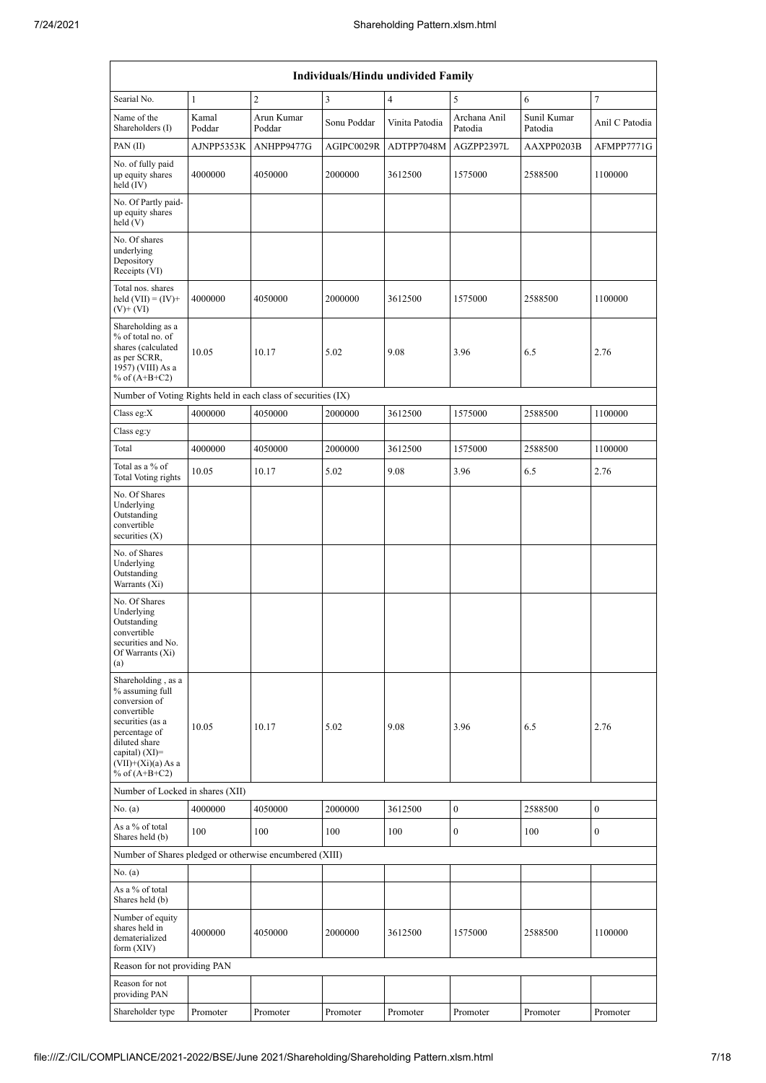|                                                                                                                                                                                             | Individuals/Hindu undivided Family |                      |                         |                |                         |                        |                  |  |
|---------------------------------------------------------------------------------------------------------------------------------------------------------------------------------------------|------------------------------------|----------------------|-------------------------|----------------|-------------------------|------------------------|------------------|--|
| Searial No.                                                                                                                                                                                 | $\mathbf{1}$                       | $\overline{c}$       | $\overline{\mathbf{3}}$ | $\overline{4}$ | 5                       | 6                      | 7                |  |
| Name of the<br>Shareholders (I)                                                                                                                                                             | Kamal<br>Poddar                    | Arun Kumar<br>Poddar | Sonu Poddar             | Vinita Patodia | Archana Anil<br>Patodia | Sunil Kumar<br>Patodia | Anil C Patodia   |  |
| PAN $(II)$                                                                                                                                                                                  | AJNPP5353K                         | ANHPP9477G           | AGIPC0029R              | ADTPP7048M     | AGZPP2397L              | AAXPP0203B             | AFMPP7771G       |  |
| No. of fully paid<br>up equity shares<br>held $(IV)$                                                                                                                                        | 4000000                            | 4050000              | 2000000                 | 3612500        | 1575000                 | 2588500                | 1100000          |  |
| No. Of Partly paid-<br>up equity shares<br>held(V)                                                                                                                                          |                                    |                      |                         |                |                         |                        |                  |  |
| No. Of shares<br>underlying<br>Depository<br>Receipts (VI)                                                                                                                                  |                                    |                      |                         |                |                         |                        |                  |  |
| Total nos. shares<br>held $(VII) = (IV) +$<br>$(V)$ + $(VI)$                                                                                                                                | 4000000                            | 4050000              | 2000000                 | 3612500        | 1575000                 | 2588500                | 1100000          |  |
| Shareholding as a<br>% of total no. of<br>shares (calculated<br>as per SCRR,<br>1957) (VIII) As a<br>% of $(A+B+C2)$                                                                        | 10.05                              | 10.17                | 5.02                    | 9.08           | 3.96                    | 6.5                    | 2.76             |  |
| Number of Voting Rights held in each class of securities (IX)                                                                                                                               |                                    |                      |                         |                |                         |                        |                  |  |
| Class eg: $X$                                                                                                                                                                               | 4000000                            | 4050000              | 2000000                 | 3612500        | 1575000                 | 2588500                | 1100000          |  |
| Class eg:y                                                                                                                                                                                  |                                    |                      |                         |                |                         |                        |                  |  |
| Total                                                                                                                                                                                       | 4000000                            | 4050000              | 2000000                 | 3612500        | 1575000                 | 2588500                | 1100000          |  |
| Total as a % of<br>Total Voting rights                                                                                                                                                      | 10.05                              | 10.17                | 5.02                    | 9.08           | 3.96                    | 6.5                    | 2.76             |  |
| No. Of Shares<br>Underlying<br>Outstanding<br>convertible<br>securities $(X)$                                                                                                               |                                    |                      |                         |                |                         |                        |                  |  |
| No. of Shares<br>Underlying<br>Outstanding<br>Warrants (Xi)                                                                                                                                 |                                    |                      |                         |                |                         |                        |                  |  |
| No. Of Shares<br>Underlying<br>Outstanding<br>convertible<br>securities and No.<br>Of Warrants (Xi)<br>(a)                                                                                  |                                    |                      |                         |                |                         |                        |                  |  |
| Shareholding, as a<br>% assuming full<br>conversion of<br>convertible<br>securities (as a<br>percentage of<br>diluted share<br>capital) $(XI)$ =<br>$(VII)+(Xi)(a) As a$<br>% of $(A+B+C2)$ | 10.05                              | 10.17                | 5.02                    | 9.08           | 3.96                    | 6.5                    | 2.76             |  |
| Number of Locked in shares (XII)                                                                                                                                                            |                                    |                      |                         |                |                         |                        |                  |  |
| No. (a)                                                                                                                                                                                     | 4000000                            | 4050000              | 2000000                 | 3612500        | $\boldsymbol{0}$        | 2588500                | $\boldsymbol{0}$ |  |
| As a % of total<br>Shares held (b)                                                                                                                                                          | 100                                | 100                  | 100                     | 100            | $\boldsymbol{0}$        | 100                    | 0                |  |
| Number of Shares pledged or otherwise encumbered (XIII)                                                                                                                                     |                                    |                      |                         |                |                         |                        |                  |  |
| No. (a)<br>As a % of total<br>Shares held (b)                                                                                                                                               |                                    |                      |                         |                |                         |                        |                  |  |
| Number of equity<br>shares held in<br>dematerialized<br>form $(XIV)$                                                                                                                        | 4000000                            | 4050000              | 2000000                 | 3612500        | 1575000                 | 2588500                | 1100000          |  |
| Reason for not providing PAN                                                                                                                                                                |                                    |                      |                         |                |                         |                        |                  |  |
| Reason for not<br>providing PAN                                                                                                                                                             |                                    |                      |                         |                |                         |                        |                  |  |
| Shareholder type                                                                                                                                                                            | Promoter                           | Promoter             | Promoter                | Promoter       | Promoter                | Promoter               | Promoter         |  |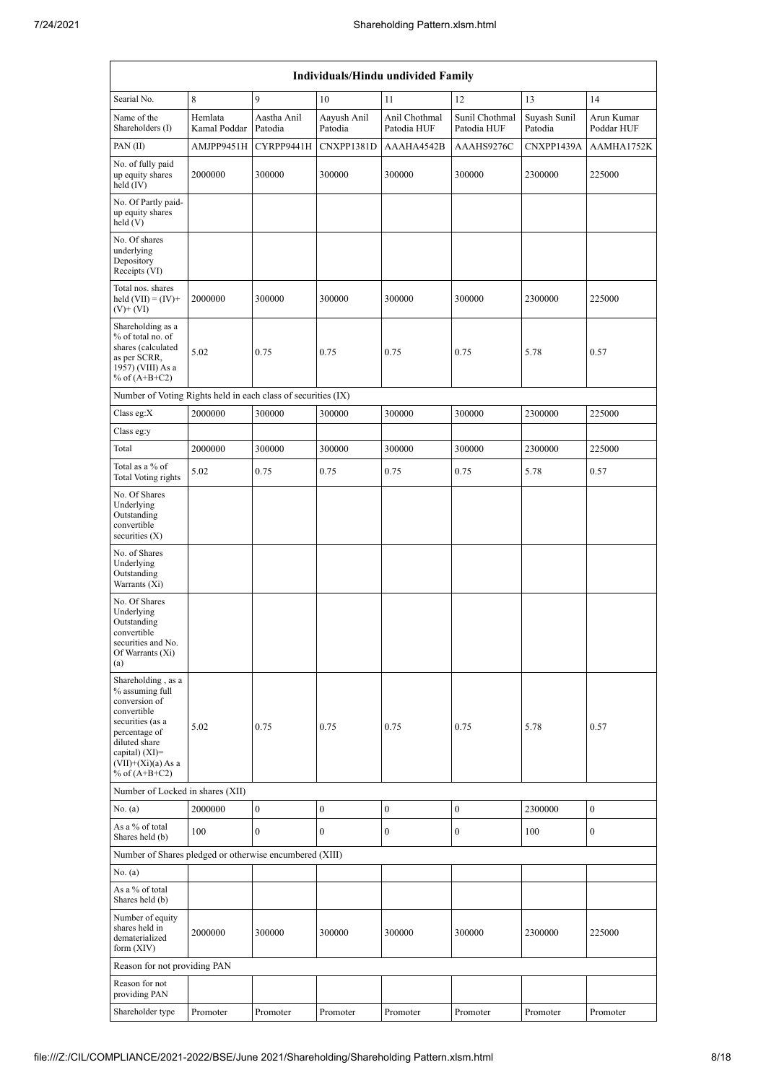| Individuals/Hindu undivided Family                                                                                                                                                         |                         |                        |                        |                              |                               |                         |                          |
|--------------------------------------------------------------------------------------------------------------------------------------------------------------------------------------------|-------------------------|------------------------|------------------------|------------------------------|-------------------------------|-------------------------|--------------------------|
| Searial No.                                                                                                                                                                                | 8                       | 9                      | 10                     | 11                           | 12                            | 13                      | 14                       |
| Name of the<br>Shareholders (I)                                                                                                                                                            | Hemlata<br>Kamal Poddar | Aastha Anil<br>Patodia | Aayush Anil<br>Patodia | Anil Chothmal<br>Patodia HUF | Sunil Chothmal<br>Patodia HUF | Suyash Sunil<br>Patodia | Arun Kumar<br>Poddar HUF |
| PAN(II)                                                                                                                                                                                    | AMJPP9451H              | CYRPP9441H             | CNXPP1381D             | AAAHA4542B                   | AAAHS9276C                    | CNXPP1439A              | AAMHA1752K               |
| No. of fully paid<br>up equity shares<br>held (IV)                                                                                                                                         | 2000000                 | 300000                 | 300000                 | 300000                       | 300000                        | 2300000                 | 225000                   |
| No. Of Partly paid-<br>up equity shares<br>held (V)                                                                                                                                        |                         |                        |                        |                              |                               |                         |                          |
| No. Of shares<br>underlying<br>Depository<br>Receipts (VI)                                                                                                                                 |                         |                        |                        |                              |                               |                         |                          |
| Total nos. shares<br>held $(VII) = (IV) +$<br>$(V)$ + $(VI)$                                                                                                                               | 2000000                 | 300000                 | 300000                 | 300000                       | 300000                        | 2300000                 | 225000                   |
| Shareholding as a<br>% of total no. of<br>shares (calculated<br>as per SCRR,<br>1957) (VIII) As a<br>% of $(A+B+C2)$                                                                       | 5.02                    | 0.75                   | 0.75                   | 0.75                         | 0.75                          | 5.78                    | 0.57                     |
| Number of Voting Rights held in each class of securities (IX)                                                                                                                              |                         |                        |                        |                              |                               |                         |                          |
| Class eg: $X$                                                                                                                                                                              | 2000000                 | 300000                 | 300000                 | 300000                       | 300000                        | 2300000                 | 225000                   |
| Class eg:y                                                                                                                                                                                 |                         |                        |                        |                              |                               |                         |                          |
| Total                                                                                                                                                                                      | 2000000                 | 300000                 | 300000                 | 300000                       | 300000                        | 2300000                 | 225000                   |
| Total as a % of<br>Total Voting rights                                                                                                                                                     | 5.02                    | 0.75                   | 0.75                   | 0.75                         | 0.75                          | 5.78                    | 0.57                     |
| No. Of Shares<br>Underlying<br>Outstanding<br>convertible<br>securities $(X)$                                                                                                              |                         |                        |                        |                              |                               |                         |                          |
| No. of Shares<br>Underlying<br>Outstanding<br>Warrants (Xi)                                                                                                                                |                         |                        |                        |                              |                               |                         |                          |
| No. Of Shares<br>Underlying<br>Outstanding<br>convertible<br>securities and No.<br>Of Warrants (Xi)<br>(a)                                                                                 |                         |                        |                        |                              |                               |                         |                          |
| Shareholding, as a<br>% assuming full<br>conversion of<br>convertible<br>securities (as a<br>percentage of<br>diluted share<br>capital) $(XI)=$<br>$(VII)+(Xi)(a) As a$<br>% of $(A+B+C2)$ | 5.02                    | 0.75                   | 0.75                   | 0.75                         | 0.75                          | 5.78                    | 0.57                     |
| Number of Locked in shares (XII)                                                                                                                                                           |                         |                        |                        |                              |                               |                         |                          |
| No. (a)                                                                                                                                                                                    | 2000000                 | $\boldsymbol{0}$       | $\boldsymbol{0}$       | $\boldsymbol{0}$             | $\boldsymbol{0}$              | 2300000                 | $\boldsymbol{0}$         |
| As a % of total<br>Shares held (b)                                                                                                                                                         | 100                     | $\mathbf{0}$           | $\mathbf{0}$           | $\boldsymbol{0}$             | $\boldsymbol{0}$              | 100                     | $\boldsymbol{0}$         |
| Number of Shares pledged or otherwise encumbered (XIII)                                                                                                                                    |                         |                        |                        |                              |                               |                         |                          |
| No. (a)<br>As a % of total<br>Shares held (b)                                                                                                                                              |                         |                        |                        |                              |                               |                         |                          |
| Number of equity<br>shares held in<br>dematerialized<br>form (XIV)                                                                                                                         | 2000000                 | 300000                 | 300000                 | 300000                       | 300000                        | 2300000                 | 225000                   |
| Reason for not providing PAN                                                                                                                                                               |                         |                        |                        |                              |                               |                         |                          |
| Reason for not<br>providing PAN                                                                                                                                                            |                         |                        |                        |                              |                               |                         |                          |
| Shareholder type                                                                                                                                                                           | Promoter                | Promoter               | Promoter               | Promoter                     | Promoter                      | Promoter                | Promoter                 |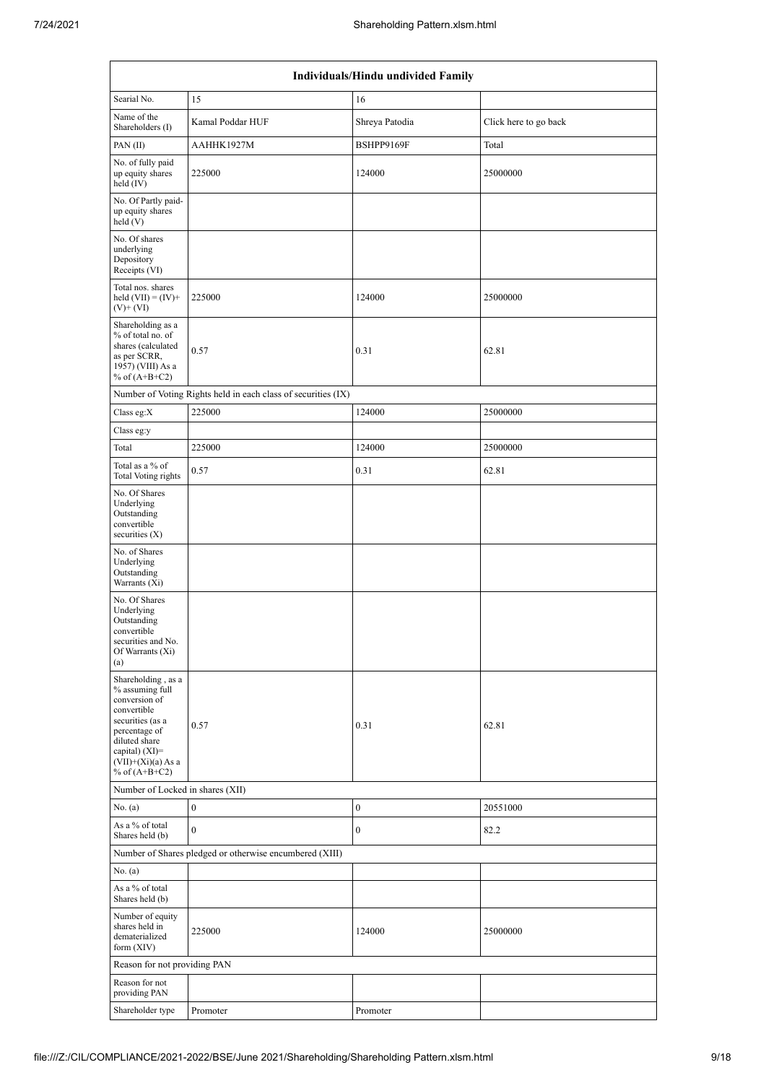| Individuals/Hindu undivided Family                                                                                                                                                       |                                                               |                  |                       |  |  |  |  |
|------------------------------------------------------------------------------------------------------------------------------------------------------------------------------------------|---------------------------------------------------------------|------------------|-----------------------|--|--|--|--|
| Searial No.                                                                                                                                                                              | 15                                                            | 16               |                       |  |  |  |  |
| Name of the<br>Shareholders (I)                                                                                                                                                          | Kamal Poddar HUF                                              | Shreya Patodia   | Click here to go back |  |  |  |  |
| PAN(II)                                                                                                                                                                                  | AAHHK1927M                                                    | BSHPP9169F       | Total                 |  |  |  |  |
| No. of fully paid<br>up equity shares<br>held (IV)                                                                                                                                       | 225000                                                        | 124000           | 25000000              |  |  |  |  |
| No. Of Partly paid-<br>up equity shares<br>held(V)                                                                                                                                       |                                                               |                  |                       |  |  |  |  |
| No. Of shares<br>underlying<br>Depository<br>Receipts (VI)                                                                                                                               |                                                               |                  |                       |  |  |  |  |
| Total nos. shares<br>held $(VII) = (IV) +$<br>$(V)$ + $(VI)$                                                                                                                             | 225000                                                        | 124000           | 25000000              |  |  |  |  |
| Shareholding as a<br>% of total no. of<br>shares (calculated<br>as per SCRR,<br>1957) (VIII) As a<br>% of $(A+B+C2)$                                                                     | 0.57                                                          | 0.31             | 62.81                 |  |  |  |  |
|                                                                                                                                                                                          | Number of Voting Rights held in each class of securities (IX) |                  |                       |  |  |  |  |
| Class eg:X                                                                                                                                                                               | 225000                                                        | 124000           | 25000000              |  |  |  |  |
| Class eg:y                                                                                                                                                                               |                                                               |                  |                       |  |  |  |  |
| Total                                                                                                                                                                                    | 225000                                                        | 124000           | 25000000              |  |  |  |  |
| Total as a % of<br>Total Voting rights                                                                                                                                                   | 0.57                                                          | 0.31             | 62.81                 |  |  |  |  |
| No. Of Shares<br>Underlying<br>Outstanding<br>convertible<br>securities $(X)$                                                                                                            |                                                               |                  |                       |  |  |  |  |
| No. of Shares<br>Underlying<br>Outstanding<br>Warrants (Xi)                                                                                                                              |                                                               |                  |                       |  |  |  |  |
| No. Of Shares<br>Underlying<br>Outstanding<br>convertible<br>securities and No.<br>Of Warrants (Xi)<br>(a)                                                                               |                                                               |                  |                       |  |  |  |  |
| Shareholding, as a<br>% assuming full<br>conversion of<br>convertible<br>securities (as a<br>percentage of<br>diluted share<br>capital) (XI)=<br>$(VII)+(Xi)(a)$ As a<br>% of $(A+B+C2)$ | 0.57                                                          | 0.31             | 62.81                 |  |  |  |  |
| Number of Locked in shares (XII)                                                                                                                                                         |                                                               |                  |                       |  |  |  |  |
| No. (a)                                                                                                                                                                                  | $\boldsymbol{0}$                                              | $\boldsymbol{0}$ | 20551000              |  |  |  |  |
| As a % of total<br>Shares held (b)                                                                                                                                                       | $\mathbf{0}$                                                  | $\boldsymbol{0}$ | 82.2                  |  |  |  |  |
|                                                                                                                                                                                          | Number of Shares pledged or otherwise encumbered (XIII)       |                  |                       |  |  |  |  |
| No. (a)                                                                                                                                                                                  |                                                               |                  |                       |  |  |  |  |
| As a % of total<br>Shares held (b)                                                                                                                                                       |                                                               |                  |                       |  |  |  |  |
| Number of equity<br>shares held in<br>dematerialized<br>form $(XIV)$                                                                                                                     | 225000                                                        | 124000           | 25000000              |  |  |  |  |
| Reason for not providing PAN                                                                                                                                                             |                                                               |                  |                       |  |  |  |  |
| Reason for not<br>providing PAN                                                                                                                                                          |                                                               |                  |                       |  |  |  |  |
| Shareholder type                                                                                                                                                                         | Promoter                                                      | Promoter         |                       |  |  |  |  |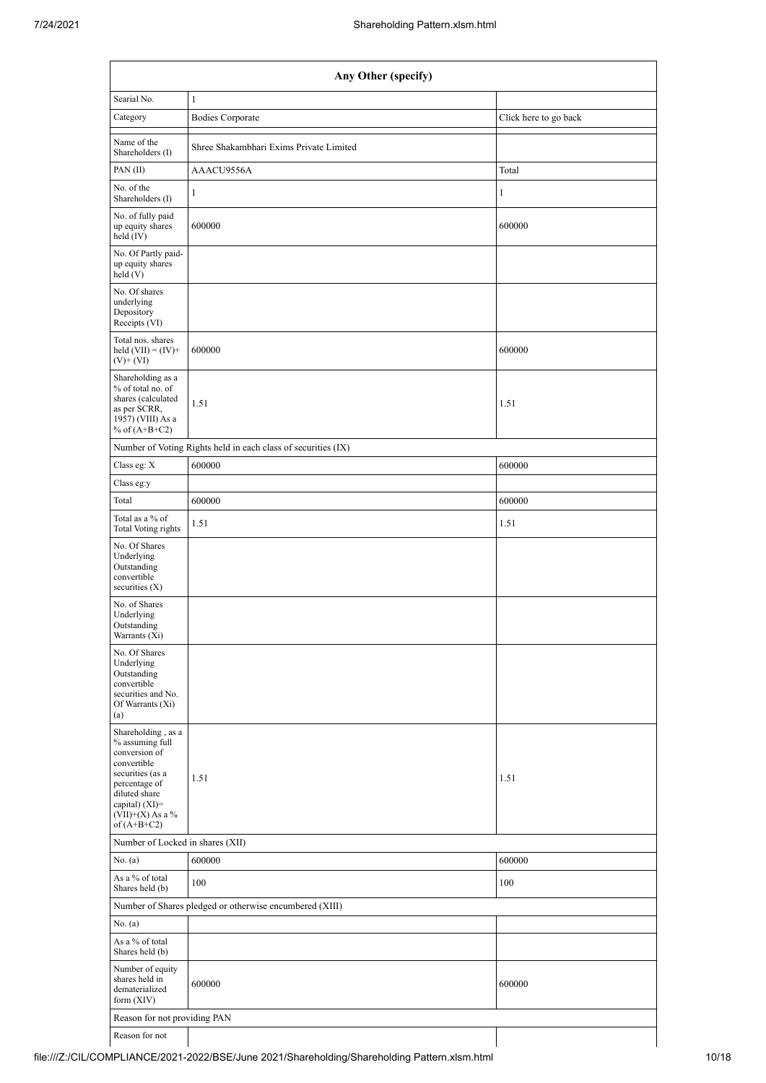| Any Other (specify)                                                                                                                                                                     |                                                               |                       |  |  |  |  |  |  |
|-----------------------------------------------------------------------------------------------------------------------------------------------------------------------------------------|---------------------------------------------------------------|-----------------------|--|--|--|--|--|--|
| Searial No.                                                                                                                                                                             | $1\,$                                                         |                       |  |  |  |  |  |  |
| Category                                                                                                                                                                                | <b>Bodies Corporate</b>                                       | Click here to go back |  |  |  |  |  |  |
| Name of the<br>Shareholders (I)                                                                                                                                                         | Shree Shakambhari Exims Private Limited                       |                       |  |  |  |  |  |  |
| PAN(II)                                                                                                                                                                                 | AAACU9556A                                                    | Total                 |  |  |  |  |  |  |
| No. of the<br>Shareholders (I)                                                                                                                                                          | $\mathbf{1}$                                                  | 1                     |  |  |  |  |  |  |
| No. of fully paid<br>up equity shares<br>held (IV)                                                                                                                                      | 600000                                                        | 600000                |  |  |  |  |  |  |
| No. Of Partly paid-<br>up equity shares<br>held(V)                                                                                                                                      |                                                               |                       |  |  |  |  |  |  |
| No. Of shares<br>underlying<br>Depository<br>Receipts (VI)                                                                                                                              |                                                               |                       |  |  |  |  |  |  |
| Total nos. shares<br>held $(VII) = (IV) +$<br>$(V)$ + $(VI)$                                                                                                                            | 600000                                                        | 600000                |  |  |  |  |  |  |
| Shareholding as a<br>% of total no. of<br>shares (calculated<br>as per SCRR,<br>1957) (VIII) As a<br>% of $(A+B+C2)$                                                                    | 1.51                                                          | 1.51                  |  |  |  |  |  |  |
|                                                                                                                                                                                         | Number of Voting Rights held in each class of securities (IX) |                       |  |  |  |  |  |  |
| Class eg: X                                                                                                                                                                             | 600000                                                        | 600000                |  |  |  |  |  |  |
| Class eg:y                                                                                                                                                                              |                                                               |                       |  |  |  |  |  |  |
| Total                                                                                                                                                                                   | 600000                                                        | 600000                |  |  |  |  |  |  |
| Total as a % of<br>Total Voting rights                                                                                                                                                  | 1.51                                                          | 1.51                  |  |  |  |  |  |  |
| No. Of Shares<br>Underlying<br>Outstanding<br>convertible<br>securities $(X)$                                                                                                           |                                                               |                       |  |  |  |  |  |  |
| No. of Shares<br>Underlying<br>Outstanding<br>Warrants (Xi)                                                                                                                             |                                                               |                       |  |  |  |  |  |  |
| No. Of Shares<br>Underlying<br>Outstanding<br>convertible<br>securities and No.<br>Of Warrants (Xi)<br>(a)                                                                              |                                                               |                       |  |  |  |  |  |  |
| Shareholding, as a<br>% assuming full<br>conversion of<br>convertible<br>securities (as a<br>percentage of<br>diluted share<br>capital) $(XI)$ =<br>$(VII)+(X)$ As a %<br>of $(A+B+C2)$ | 1.51                                                          | 1.51                  |  |  |  |  |  |  |
|                                                                                                                                                                                         | Number of Locked in shares (XII)                              |                       |  |  |  |  |  |  |
| No. (a)                                                                                                                                                                                 | 600000                                                        | 600000                |  |  |  |  |  |  |
| As a % of total<br>Shares held (b)                                                                                                                                                      | 100                                                           | 100                   |  |  |  |  |  |  |
|                                                                                                                                                                                         | Number of Shares pledged or otherwise encumbered (XIII)       |                       |  |  |  |  |  |  |
| No. (a)                                                                                                                                                                                 |                                                               |                       |  |  |  |  |  |  |
| As a % of total<br>Shares held (b)                                                                                                                                                      |                                                               |                       |  |  |  |  |  |  |
| Number of equity<br>shares held in<br>dematerialized<br>form $(XIV)$                                                                                                                    | 600000                                                        | 600000                |  |  |  |  |  |  |
| Reason for not providing PAN                                                                                                                                                            |                                                               |                       |  |  |  |  |  |  |
| Reason for not                                                                                                                                                                          |                                                               |                       |  |  |  |  |  |  |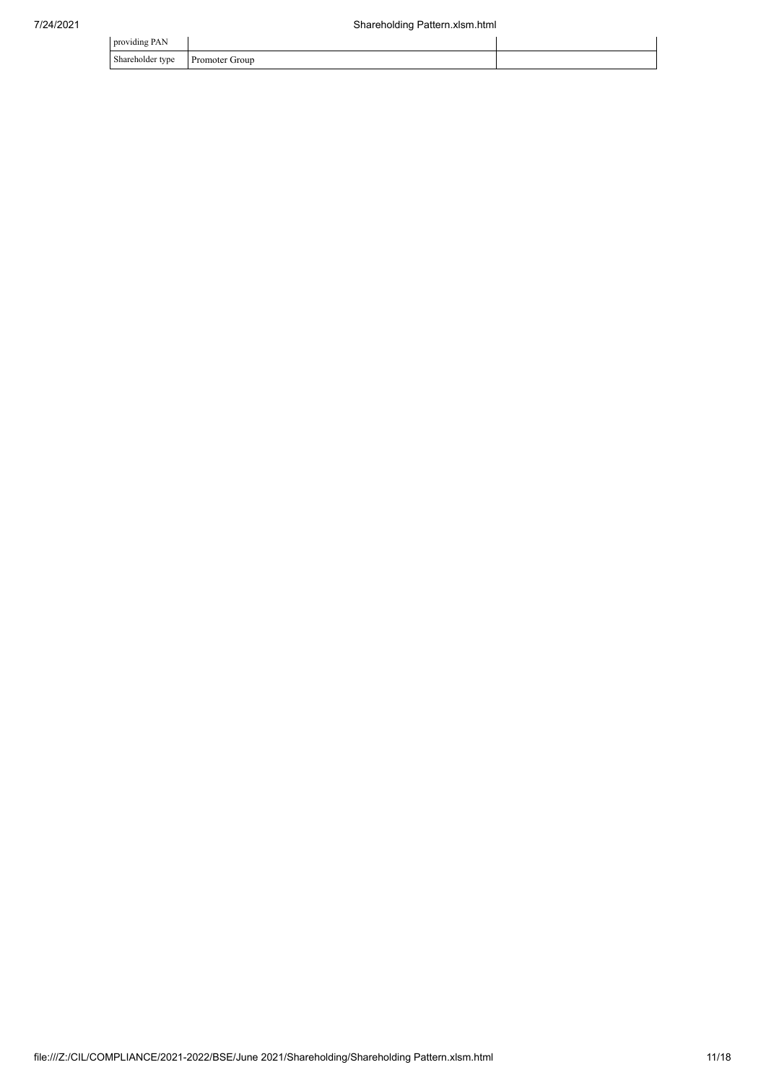| providing PAN                |                |  |
|------------------------------|----------------|--|
| Shareholder type<br>$\sim$ 1 | Promoter Group |  |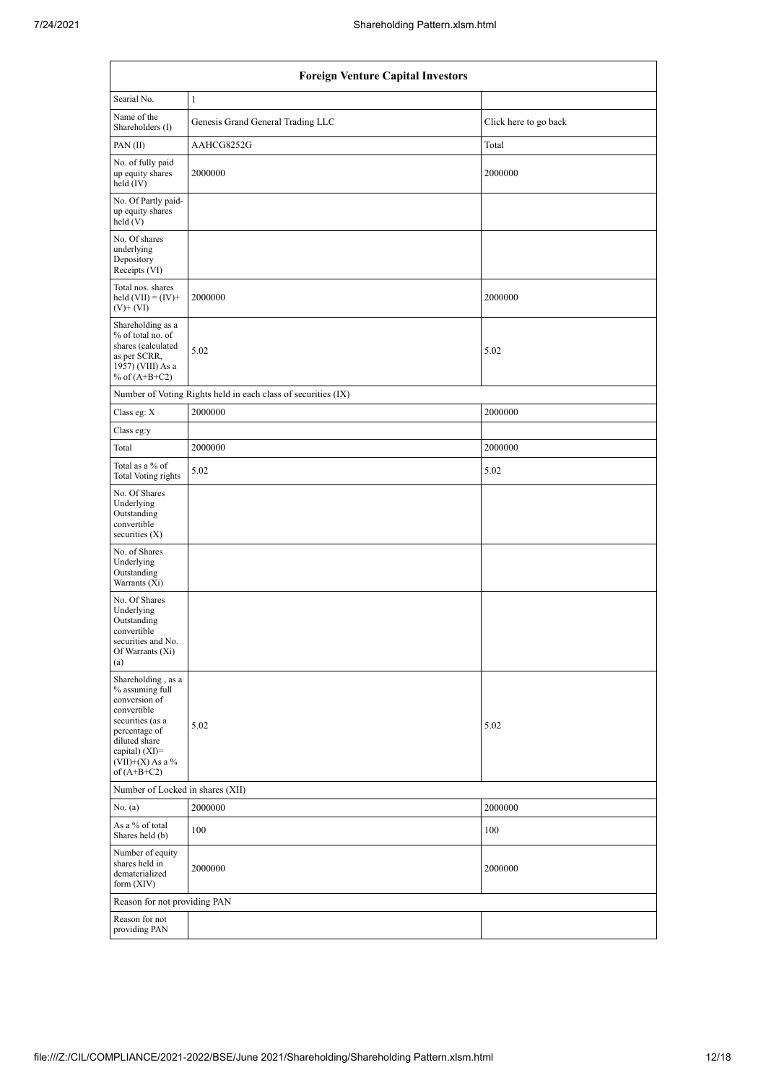| <b>Foreign Venture Capital Investors</b>                                                                                                                                             |                                                               |                       |  |  |  |  |  |
|--------------------------------------------------------------------------------------------------------------------------------------------------------------------------------------|---------------------------------------------------------------|-----------------------|--|--|--|--|--|
| Searial No.                                                                                                                                                                          | $\mathbf{1}$                                                  |                       |  |  |  |  |  |
| Name of the<br>Shareholders (I)                                                                                                                                                      | Genesis Grand General Trading LLC                             | Click here to go back |  |  |  |  |  |
| PAN(II)                                                                                                                                                                              | AAHCG8252G                                                    | Total                 |  |  |  |  |  |
| No. of fully paid<br>up equity shares<br>held (IV)                                                                                                                                   | 2000000                                                       | 2000000               |  |  |  |  |  |
| No. Of Partly paid-<br>up equity shares<br>held(V)                                                                                                                                   |                                                               |                       |  |  |  |  |  |
| No. Of shares<br>underlying<br>Depository<br>Receipts (VI)                                                                                                                           |                                                               |                       |  |  |  |  |  |
| Total nos. shares<br>held $(VII) = (IV) +$<br>$(V)$ + $(VI)$                                                                                                                         | 2000000                                                       | 2000000               |  |  |  |  |  |
| Shareholding as a<br>% of total no. of<br>shares (calculated<br>as per SCRR,<br>1957) (VIII) As a<br>% of $(A+B+C2)$                                                                 | 5.02                                                          | 5.02                  |  |  |  |  |  |
|                                                                                                                                                                                      | Number of Voting Rights held in each class of securities (IX) |                       |  |  |  |  |  |
| Class eg: X                                                                                                                                                                          | 2000000                                                       | 2000000               |  |  |  |  |  |
| Class eg:y                                                                                                                                                                           |                                                               |                       |  |  |  |  |  |
| Total                                                                                                                                                                                | 2000000                                                       | 2000000               |  |  |  |  |  |
| Total as a % of<br>Total Voting rights                                                                                                                                               | 5.02                                                          | 5.02                  |  |  |  |  |  |
| No. Of Shares<br>Underlying<br>Outstanding<br>convertible<br>securities $(X)$                                                                                                        |                                                               |                       |  |  |  |  |  |
| No. of Shares<br>Underlying<br>Outstanding<br>Warrants (Xi)                                                                                                                          |                                                               |                       |  |  |  |  |  |
| No. Of Shares<br>Underlying<br>Outstanding<br>convertible<br>securities and No.<br>Of Warrants (Xi)<br>(a)                                                                           |                                                               |                       |  |  |  |  |  |
| Shareholding, as a<br>% assuming full<br>conversion of<br>convertible<br>securities (as a<br>percentage of<br>diluted share<br>capital) (XI)=<br>$(VII)+(X)$ As a %<br>of $(A+B+C2)$ | 5.02                                                          | 5.02                  |  |  |  |  |  |
| Number of Locked in shares (XII)                                                                                                                                                     |                                                               |                       |  |  |  |  |  |
| No. (a)                                                                                                                                                                              | 2000000                                                       | 2000000               |  |  |  |  |  |
| As a % of total<br>Shares held (b)                                                                                                                                                   | 100                                                           | 100                   |  |  |  |  |  |
| Number of equity<br>shares held in<br>dematerialized<br>form $(XIV)$                                                                                                                 | 2000000                                                       | 2000000               |  |  |  |  |  |
| Reason for not providing PAN                                                                                                                                                         |                                                               |                       |  |  |  |  |  |
| Reason for not<br>providing PAN                                                                                                                                                      |                                                               |                       |  |  |  |  |  |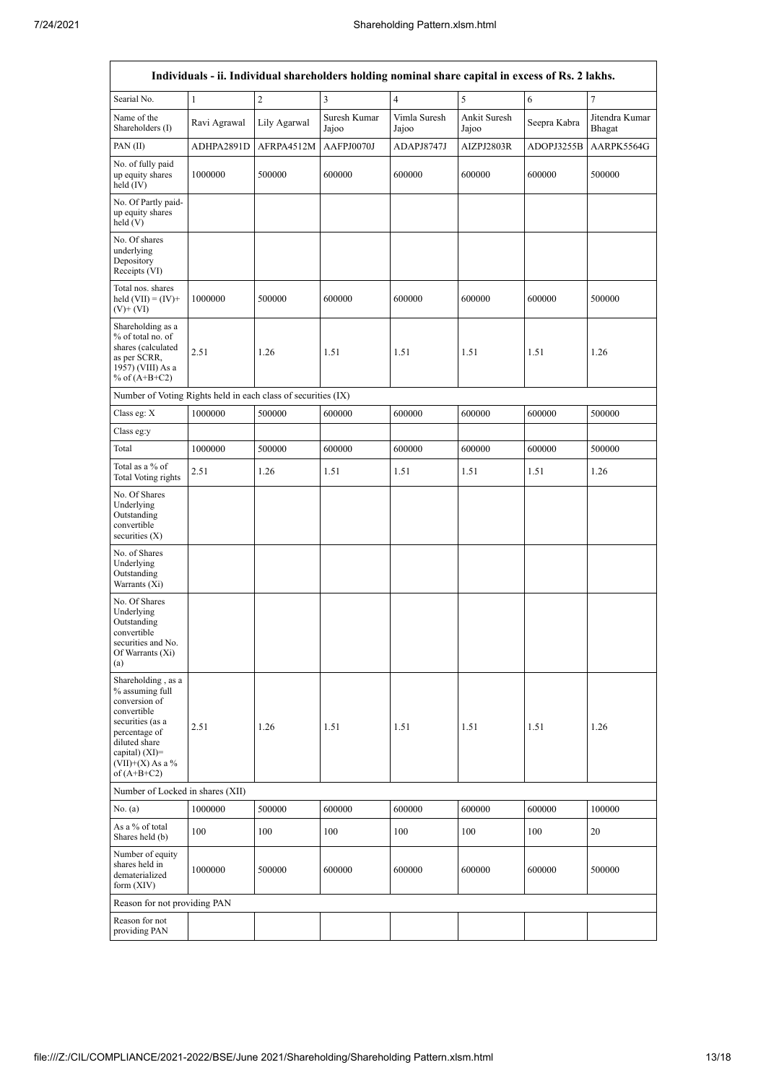| Individuals - ii. Individual shareholders holding nominal share capital in excess of Rs. 2 lakhs.                                                                                            |              |                |                       |                         |                       |                  |                          |  |  |
|----------------------------------------------------------------------------------------------------------------------------------------------------------------------------------------------|--------------|----------------|-----------------------|-------------------------|-----------------------|------------------|--------------------------|--|--|
| Searial No.                                                                                                                                                                                  | $\mathbf{1}$ | $\overline{c}$ | 3                     | $\overline{\mathbf{4}}$ | $\sqrt{5}$            | 6                | $\boldsymbol{7}$         |  |  |
| Name of the<br>Shareholders (I)                                                                                                                                                              | Ravi Agrawal | Lily Agarwal   | Suresh Kumar<br>Jajoo | Vimla Suresh<br>Jajoo   | Ankit Suresh<br>Jajoo | Seepra Kabra     | Jitendra Kumar<br>Bhagat |  |  |
| PAN(II)                                                                                                                                                                                      | ADHPA2891D   | AFRPA4512M     | AAFPJ0070J            | ADAPJ8747J              | AIZPJ2803R            | ADOPJ3255B       | AARPK5564G               |  |  |
| No. of fully paid<br>1000000<br>up equity shares<br>held (IV)                                                                                                                                |              | 500000         | 600000                | 600000                  | 600000                | 600000           | 500000                   |  |  |
| No. Of Partly paid-<br>up equity shares<br>held (V)                                                                                                                                          |              |                |                       |                         |                       |                  |                          |  |  |
| No. Of shares<br>underlying<br>Depository<br>Receipts (VI)                                                                                                                                   |              |                |                       |                         |                       |                  |                          |  |  |
| Total nos. shares<br>held $(VII) = (IV) +$<br>$(V)$ + $(VI)$                                                                                                                                 | 1000000      | 500000         | 600000                | 600000                  | 600000                | 600000           | 500000                   |  |  |
| Shareholding as a<br>% of total no. of<br>shares (calculated<br>2.51<br>as per SCRR,<br>1957) (VIII) As a<br>% of $(A+B+C2)$                                                                 |              | 1.26           | 1.51                  | 1.51                    | 1.51                  | 1.51             | 1.26                     |  |  |
| Number of Voting Rights held in each class of securities (IX)                                                                                                                                |              |                |                       |                         |                       |                  |                          |  |  |
| Class eg: X                                                                                                                                                                                  | 1000000      | 500000         | 600000                | 600000                  | 600000                | 600000           | 500000                   |  |  |
| Class eg:y                                                                                                                                                                                   |              |                |                       |                         |                       |                  |                          |  |  |
| Total                                                                                                                                                                                        | 1000000      | 500000         | 600000                | 600000                  | 600000                | 600000           | 500000                   |  |  |
| Total as a % of<br>Total Voting rights                                                                                                                                                       | 2.51         | 1.26           | 1.51                  | 1.51                    | 1.51                  | 1.51             | 1.26                     |  |  |
| No. Of Shares<br>Underlying<br>Outstanding<br>convertible<br>securities $(X)$                                                                                                                |              |                |                       |                         |                       |                  |                          |  |  |
| No. of Shares<br>Underlying<br>Outstanding<br>Warrants (Xi)                                                                                                                                  |              |                |                       |                         |                       |                  |                          |  |  |
| No. Of Shares<br>Underlying<br>Outstanding<br>convertible<br>securities and No.<br>Of Warrants (Xi)<br>(a)                                                                                   |              |                |                       |                         |                       |                  |                          |  |  |
| Shareholding, as a<br>% assuming full<br>conversion of<br>convertible<br>securities (as a<br>2.51<br>percentage of<br>diluted share<br>capital) (XI)=<br>$(VII)+(X)$ As a %<br>of $(A+B+C2)$ |              | 1.26           | 1.51                  | 1.51                    | 1.51                  | 1.51             | 1.26                     |  |  |
| Number of Locked in shares (XII)                                                                                                                                                             |              |                |                       |                         |                       |                  |                          |  |  |
| No. (a)                                                                                                                                                                                      | 1000000      | 500000         | 600000                | 600000                  | 600000                | 600000           | 100000                   |  |  |
| As a % of total<br>Shares held (b)                                                                                                                                                           | 100          | 100            | 100                   | 100                     | 100                   | 100              | 20                       |  |  |
| Number of equity<br>shares held in<br>dematerialized<br>form (XIV)                                                                                                                           | 1000000      | 500000         | 600000                | 600000                  | 600000                | 600000<br>500000 |                          |  |  |
| Reason for not providing PAN                                                                                                                                                                 |              |                |                       |                         |                       |                  |                          |  |  |
| Reason for not<br>providing PAN                                                                                                                                                              |              |                |                       |                         |                       |                  |                          |  |  |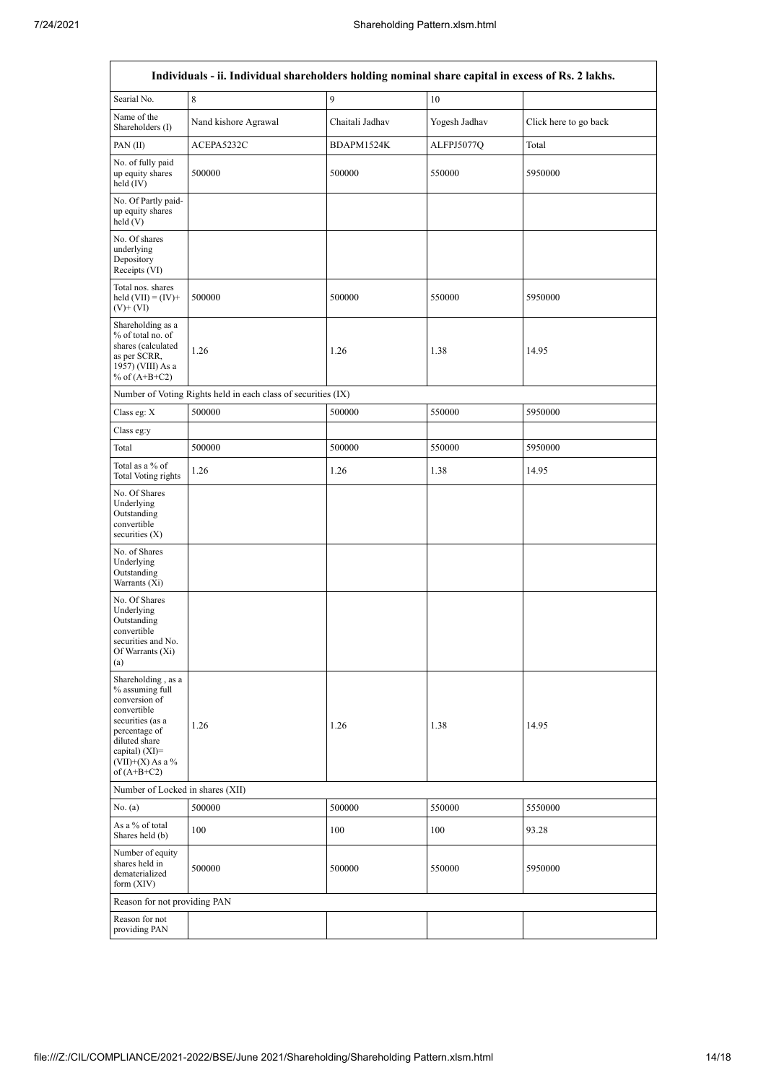| Individuals - ii. Individual shareholders holding nominal share capital in excess of Rs. 2 lakhs.                                                                                      |                                                               |                  |               |                       |  |  |  |  |  |
|----------------------------------------------------------------------------------------------------------------------------------------------------------------------------------------|---------------------------------------------------------------|------------------|---------------|-----------------------|--|--|--|--|--|
| Searial No.<br>8                                                                                                                                                                       |                                                               | 9                | 10            |                       |  |  |  |  |  |
| Name of the<br>Nand kishore Agrawal<br>Shareholders (I)                                                                                                                                |                                                               | Chaitali Jadhav  | Yogesh Jadhav | Click here to go back |  |  |  |  |  |
| PAN(II)<br>ACEPA5232C                                                                                                                                                                  |                                                               | BDAPM1524K       | ALFPJ5077Q    | Total                 |  |  |  |  |  |
| No. of fully paid<br>500000<br>up equity shares<br>held $(IV)$                                                                                                                         |                                                               | 500000           | 550000        | 5950000               |  |  |  |  |  |
| No. Of Partly paid-<br>up equity shares<br>held(V)                                                                                                                                     |                                                               |                  |               |                       |  |  |  |  |  |
| No. Of shares<br>underlying<br>Depository<br>Receipts (VI)                                                                                                                             |                                                               |                  |               |                       |  |  |  |  |  |
| Total nos. shares<br>held $(VII) = (IV) +$<br>$(V)$ + $(VI)$                                                                                                                           | 500000                                                        | 500000           | 550000        | 5950000               |  |  |  |  |  |
| Shareholding as a<br>% of total no. of<br>shares (calculated<br>as per SCRR,<br>1957) (VIII) As a<br>% of $(A+B+C2)$                                                                   | 1.26                                                          | 1.26             | 1.38          | 14.95                 |  |  |  |  |  |
|                                                                                                                                                                                        | Number of Voting Rights held in each class of securities (IX) |                  |               |                       |  |  |  |  |  |
| Class eg: X                                                                                                                                                                            | 500000                                                        | 500000           | 550000        | 5950000               |  |  |  |  |  |
| Class eg:y                                                                                                                                                                             |                                                               |                  |               |                       |  |  |  |  |  |
| Total                                                                                                                                                                                  | 500000                                                        | 500000           | 550000        | 5950000               |  |  |  |  |  |
| Total as a % of<br>Total Voting rights                                                                                                                                                 | 1.26                                                          | 1.26<br>1.38     |               | 14.95                 |  |  |  |  |  |
| No. Of Shares<br>Underlying<br>Outstanding<br>convertible<br>securities $(X)$                                                                                                          |                                                               |                  |               |                       |  |  |  |  |  |
| No. of Shares<br>Underlying<br>Outstanding<br>Warrants (Xi)                                                                                                                            |                                                               |                  |               |                       |  |  |  |  |  |
| No. Of Shares<br>Underlying<br>Outstanding<br>convertible<br>securities and No.<br>Of Warrants (Xi)<br>(a)                                                                             |                                                               |                  |               |                       |  |  |  |  |  |
| Shareholding, as a<br>% assuming full<br>conversion of<br>convertible<br>securities (as a<br>percentage of<br>diluted share<br>capital) $(XI)=$<br>$(VII)+(X)$ As a %<br>of $(A+B+C2)$ | 1.26                                                          | 1.26             | 1.38          | 14.95                 |  |  |  |  |  |
| Number of Locked in shares (XII)                                                                                                                                                       |                                                               |                  |               |                       |  |  |  |  |  |
| No. (a)<br>500000                                                                                                                                                                      |                                                               | 500000<br>550000 |               | 5550000               |  |  |  |  |  |
| As a % of total<br>Shares held (b)                                                                                                                                                     | 100                                                           | 100              | 100           | 93.28                 |  |  |  |  |  |
| Number of equity<br>shares held in<br>dematerialized<br>form $(XIV)$                                                                                                                   | 500000                                                        | 500000           | 550000        | 5950000               |  |  |  |  |  |
| Reason for not providing PAN                                                                                                                                                           |                                                               |                  |               |                       |  |  |  |  |  |
| Reason for not<br>providing PAN                                                                                                                                                        |                                                               |                  |               |                       |  |  |  |  |  |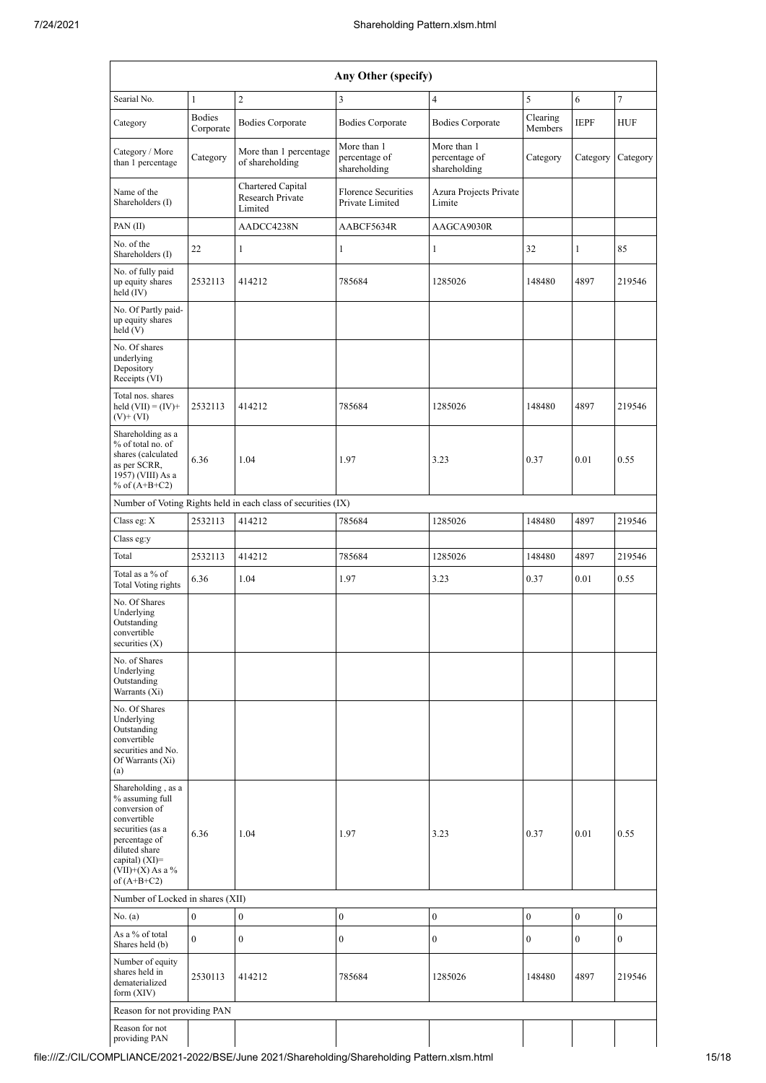| Any Other (specify)                                                                                                                                                                     |                            |                                                               |                                               |                                              |                     |                  |                  |  |  |
|-----------------------------------------------------------------------------------------------------------------------------------------------------------------------------------------|----------------------------|---------------------------------------------------------------|-----------------------------------------------|----------------------------------------------|---------------------|------------------|------------------|--|--|
| Searial No.                                                                                                                                                                             | $\mathbf{1}$               | $\overline{c}$                                                | 3                                             | 4                                            |                     |                  | $\boldsymbol{7}$ |  |  |
| Category                                                                                                                                                                                | <b>Bodies</b><br>Corporate | <b>Bodies Corporate</b>                                       | <b>Bodies Corporate</b>                       | <b>Bodies Corporate</b>                      | Clearing<br>Members | <b>IEPF</b>      | HUF              |  |  |
| Category / More<br>than 1 percentage                                                                                                                                                    | Category                   | More than 1 percentage<br>of shareholding                     | More than 1<br>percentage of<br>shareholding  | More than 1<br>percentage of<br>shareholding | Category            | Category         | Category         |  |  |
| Name of the<br>Shareholders (I)                                                                                                                                                         |                            | Chartered Capital<br>Research Private<br>Limited              | <b>Florence Securities</b><br>Private Limited | Azura Projects Private<br>Limite             |                     |                  |                  |  |  |
| PAN(II)                                                                                                                                                                                 |                            | AADCC4238N                                                    | AABCF5634R                                    | AAGCA9030R                                   |                     |                  |                  |  |  |
| No. of the<br>Shareholders (I)                                                                                                                                                          | 22                         | $\mathbf{1}$                                                  | $\mathbf{1}$                                  | 1                                            | 32                  | $\mathbf{1}$     | 85               |  |  |
| No. of fully paid<br>up equity shares<br>held $(IV)$                                                                                                                                    | 2532113                    | 414212                                                        | 785684                                        | 1285026                                      | 148480              | 4897             | 219546           |  |  |
| No. Of Partly paid-<br>up equity shares<br>held(V)                                                                                                                                      |                            |                                                               |                                               |                                              |                     |                  |                  |  |  |
| No. Of shares<br>underlying<br>Depository<br>Receipts (VI)                                                                                                                              |                            |                                                               |                                               |                                              |                     |                  |                  |  |  |
| Total nos. shares<br>held $(VII) = (IV) +$<br>$(V)$ + $(VI)$                                                                                                                            | 2532113                    | 414212                                                        | 785684                                        | 1285026                                      | 148480              | 4897             | 219546           |  |  |
| Shareholding as a<br>% of total no. of<br>shares (calculated<br>as per SCRR,<br>1957) (VIII) As a<br>% of $(A+B+C2)$                                                                    | 6.36                       | 1.04                                                          | 1.97                                          | 3.23                                         | 0.37                | 0.01             | 0.55             |  |  |
|                                                                                                                                                                                         |                            | Number of Voting Rights held in each class of securities (IX) |                                               |                                              |                     |                  |                  |  |  |
| Class eg: X                                                                                                                                                                             | 2532113                    | 414212                                                        | 785684                                        | 1285026                                      | 148480              | 4897             | 219546           |  |  |
| Class eg:y                                                                                                                                                                              |                            |                                                               |                                               |                                              |                     |                  |                  |  |  |
| Total                                                                                                                                                                                   | 2532113                    | 414212                                                        | 785684                                        | 1285026                                      | 148480              | 4897             | 219546           |  |  |
| Total as a % of<br>Total Voting rights                                                                                                                                                  | 6.36                       | 1.04                                                          | 1.97                                          | 3.23                                         | 0.37                | 0.01             | 0.55             |  |  |
| No. Of Shares<br>Underlying<br>Outstanding<br>convertible<br>securities $(X)$                                                                                                           |                            |                                                               |                                               |                                              |                     |                  |                  |  |  |
| No. of Shares<br>Underlying<br>Outstanding<br>Warrants (Xi)                                                                                                                             |                            |                                                               |                                               |                                              |                     |                  |                  |  |  |
| No. Of Shares<br>Underlying<br>Outstanding<br>convertible<br>securities and No.<br>Of Warrants (Xi)<br>(a)                                                                              |                            |                                                               |                                               |                                              |                     |                  |                  |  |  |
| Shareholding, as a<br>% assuming full<br>conversion of<br>convertible<br>securities (as a<br>percentage of<br>diluted share<br>capital) $(XI)=$<br>(VII)+(X) As a $\%$<br>of $(A+B+C2)$ | 6.36                       | 1.04                                                          | 1.97                                          | 3.23                                         | 0.37                | 0.01             | 0.55             |  |  |
| Number of Locked in shares (XII)                                                                                                                                                        |                            |                                                               |                                               |                                              |                     |                  |                  |  |  |
| No. (a)                                                                                                                                                                                 | $\boldsymbol{0}$           | $\boldsymbol{0}$                                              | $\mathbf{0}$                                  | $\boldsymbol{0}$                             | $\boldsymbol{0}$    | $\boldsymbol{0}$ | $\mathbf{0}$     |  |  |
| As a % of total<br>Shares held (b)                                                                                                                                                      | $\overline{0}$             | $\boldsymbol{0}$                                              | $\boldsymbol{0}$                              | 0                                            | $\boldsymbol{0}$    | $\mathbf{0}$     | $\mathbf{0}$     |  |  |
| Number of equity<br>shares held in<br>dematerialized<br>form (XIV)                                                                                                                      | 2530113                    | 414212                                                        | 785684                                        | 1285026                                      | 148480              | 4897             | 219546           |  |  |
| Reason for not providing PAN                                                                                                                                                            |                            |                                                               |                                               |                                              |                     |                  |                  |  |  |
| Reason for not<br>providing PAN                                                                                                                                                         |                            |                                                               |                                               |                                              |                     |                  |                  |  |  |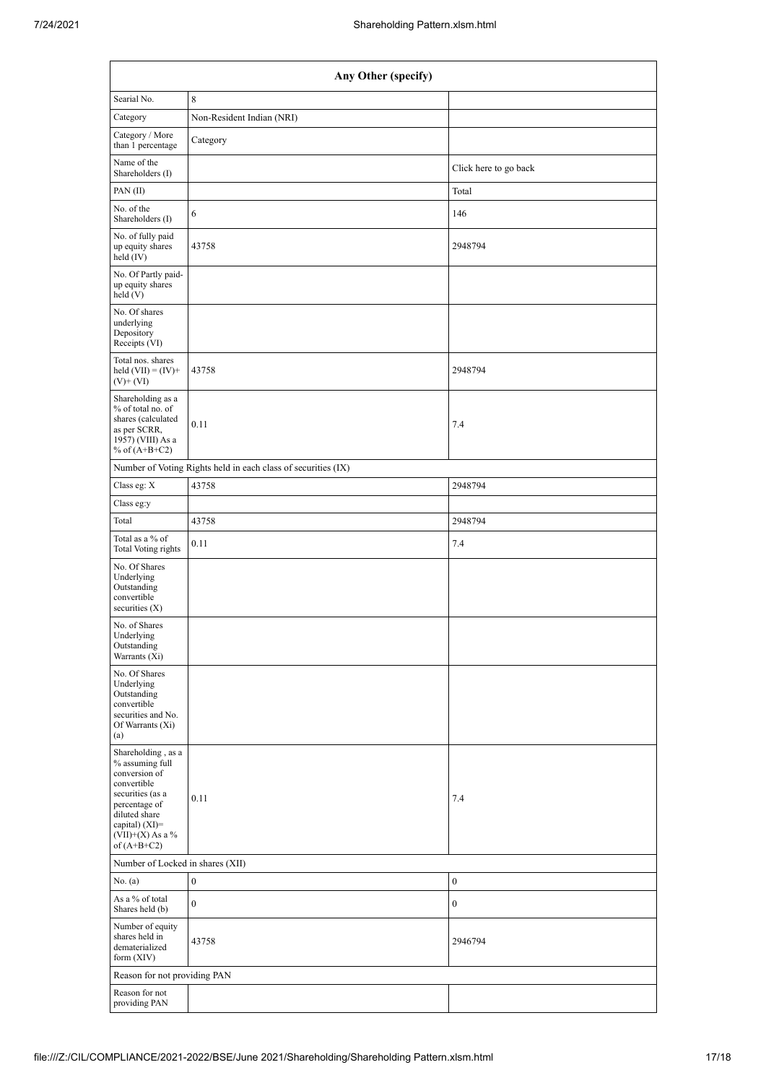| Any Other (specify)                                                                                                                                                                   |                                                               |                       |  |  |  |  |  |  |
|---------------------------------------------------------------------------------------------------------------------------------------------------------------------------------------|---------------------------------------------------------------|-----------------------|--|--|--|--|--|--|
| Searial No.                                                                                                                                                                           | $\,8\,$                                                       |                       |  |  |  |  |  |  |
| Category                                                                                                                                                                              | Non-Resident Indian (NRI)                                     |                       |  |  |  |  |  |  |
| Category / More<br>than 1 percentage                                                                                                                                                  | Category                                                      |                       |  |  |  |  |  |  |
| Name of the<br>Shareholders (I)                                                                                                                                                       |                                                               | Click here to go back |  |  |  |  |  |  |
| PAN $(II)$                                                                                                                                                                            |                                                               | Total                 |  |  |  |  |  |  |
| No. of the<br>Shareholders (I)                                                                                                                                                        | 6                                                             | 146                   |  |  |  |  |  |  |
| No. of fully paid<br>up equity shares<br>held (IV)                                                                                                                                    | 43758                                                         | 2948794               |  |  |  |  |  |  |
| No. Of Partly paid-<br>up equity shares<br>held(V)                                                                                                                                    |                                                               |                       |  |  |  |  |  |  |
| No. Of shares<br>underlying<br>Depository<br>Receipts (VI)                                                                                                                            |                                                               |                       |  |  |  |  |  |  |
| Total nos. shares<br>held $(VII) = (IV) +$<br>$(V)$ + $(VI)$                                                                                                                          | 43758                                                         | 2948794               |  |  |  |  |  |  |
| Shareholding as a<br>% of total no. of<br>shares (calculated<br>as per SCRR,<br>1957) (VIII) As a<br>% of $(A+B+C2)$                                                                  | 0.11                                                          | 7.4                   |  |  |  |  |  |  |
|                                                                                                                                                                                       | Number of Voting Rights held in each class of securities (IX) |                       |  |  |  |  |  |  |
| Class eg: X                                                                                                                                                                           | 43758                                                         | 2948794               |  |  |  |  |  |  |
| Class eg:y                                                                                                                                                                            |                                                               |                       |  |  |  |  |  |  |
| Total                                                                                                                                                                                 | 43758                                                         | 2948794               |  |  |  |  |  |  |
| Total as a % of<br>Total Voting rights                                                                                                                                                | 0.11                                                          | 7.4                   |  |  |  |  |  |  |
| No. Of Shares<br>Underlying<br>Outstanding<br>convertible<br>securities $(X)$                                                                                                         |                                                               |                       |  |  |  |  |  |  |
| No. of Shares<br>Underlying<br>Outstanding<br>Warrants (Xi)                                                                                                                           |                                                               |                       |  |  |  |  |  |  |
| No. Of Shares<br>Underlying<br>Outstanding<br>convertible<br>securities and No.<br>Of Warrants (Xi)<br>(a)                                                                            |                                                               |                       |  |  |  |  |  |  |
| Shareholding, as a<br>% assuming full<br>conversion of<br>convertible<br>securities (as a<br>percentage of<br>diluted share<br>capital) (XI)=<br>(VII)+(X) As a $\%$<br>of $(A+B+C2)$ | 0.11                                                          | 7.4                   |  |  |  |  |  |  |
| Number of Locked in shares (XII)                                                                                                                                                      |                                                               |                       |  |  |  |  |  |  |
| No. (a)                                                                                                                                                                               | $\boldsymbol{0}$                                              | $\boldsymbol{0}$      |  |  |  |  |  |  |
| As a % of total<br>Shares held (b)                                                                                                                                                    | $\boldsymbol{0}$                                              | $\boldsymbol{0}$      |  |  |  |  |  |  |
| Number of equity<br>shares held in<br>dematerialized<br>form $(XIV)$                                                                                                                  | 43758                                                         | 2946794               |  |  |  |  |  |  |
|                                                                                                                                                                                       | Reason for not providing PAN                                  |                       |  |  |  |  |  |  |
| Reason for not<br>providing PAN                                                                                                                                                       |                                                               |                       |  |  |  |  |  |  |